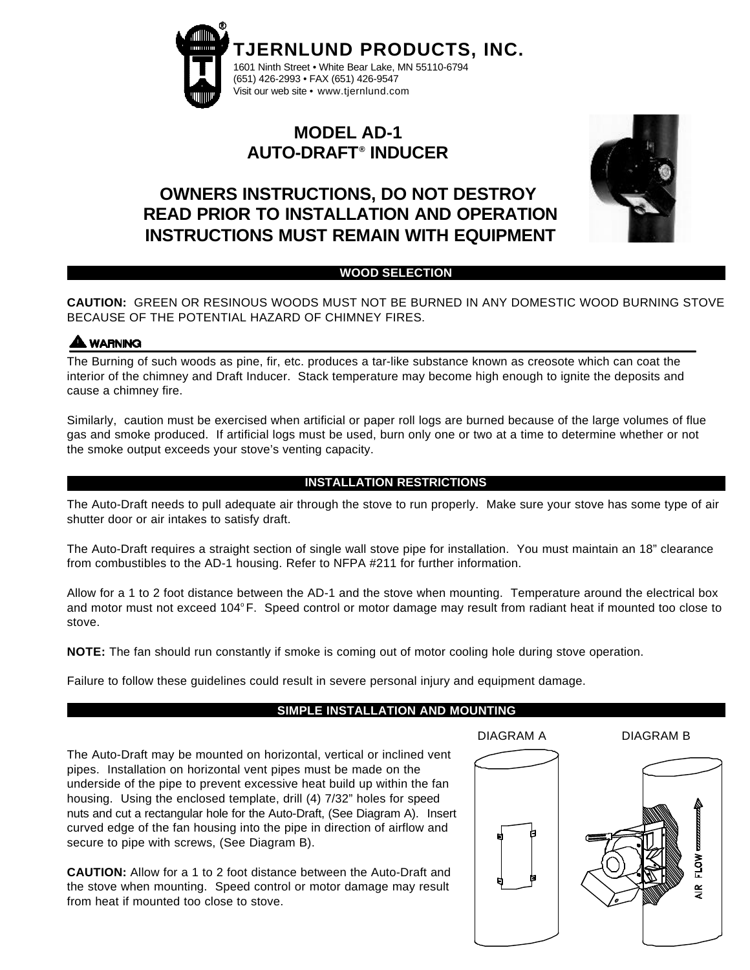

# **MODEL AD-1 AUTO-DRAFT® INDUCER**

# **OWNERS INSTRUCTIONS, DO NOT DESTROY READ PRIOR TO INSTALLATION AND OPERATION INSTRUCTIONS MUST REMAIN WITH EQUIPMENT**



## **WOOD SELECTION**

**CAUTION:** GREEN OR RESINOUS WOODS MUST NOT BE BURNED IN ANY DOMESTIC WOOD BURNING STOVE BECAUSE OF THE POTENTIAL HAZARD OF CHIMNEY FIRES.

# **A WARNING**

The Burning of such woods as pine, fir, etc. produces a tar-like substance known as creosote which can coat the interior of the chimney and Draft Inducer. Stack temperature may become high enough to ignite the deposits and cause a chimney fire.

Similarly, caution must be exercised when artificial or paper roll logs are burned because of the large volumes of flue gas and smoke produced. If artificial logs must be used, burn only one or two at a time to determine whether or not the smoke output exceeds your stove's venting capacity.

## **INSTALLATION RESTRICTIONS**

The Auto-Draft needs to pull adequate air through the stove to run properly. Make sure your stove has some type of air shutter door or air intakes to satisfy draft.

The Auto-Draft requires a straight section of single wall stove pipe for installation. You must maintain an 18" clearance from combustibles to the AD-1 housing. Refer to NFPA #211 for further information.

Allow for a 1 to 2 foot distance between the AD-1 and the stove when mounting. Temperature around the electrical box and motor must not exceed 104°F. Speed control or motor damage may result from radiant heat if mounted too close to stove.

**NOTE:** The fan should run constantly if smoke is coming out of motor cooling hole during stove operation.

Failure to follow these guidelines could result in severe personal injury and equipment damage.

# **SIMPLE INSTALLATION AND MOUNTING**

DIAGRAM A DIAGRAM B

The Auto-Draft may be mounted on horizontal, vertical or inclined vent pipes. Installation on horizontal vent pipes must be made on the underside of the pipe to prevent excessive heat build up within the fan housing. Using the enclosed template, drill (4) 7/32" holes for speed nuts and cut a rectangular hole for the Auto-Draft, (See Diagram A). Insert curved edge of the fan housing into the pipe in direction of airflow and secure to pipe with screws, (See Diagram B).

**CAUTION:** Allow for a 1 to 2 foot distance between the Auto-Draft and the stove when mounting. Speed control or motor damage may result from heat if mounted too close to stove.